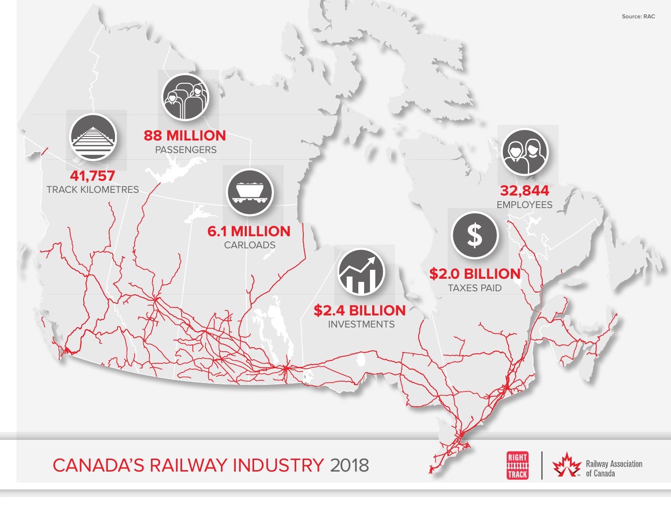